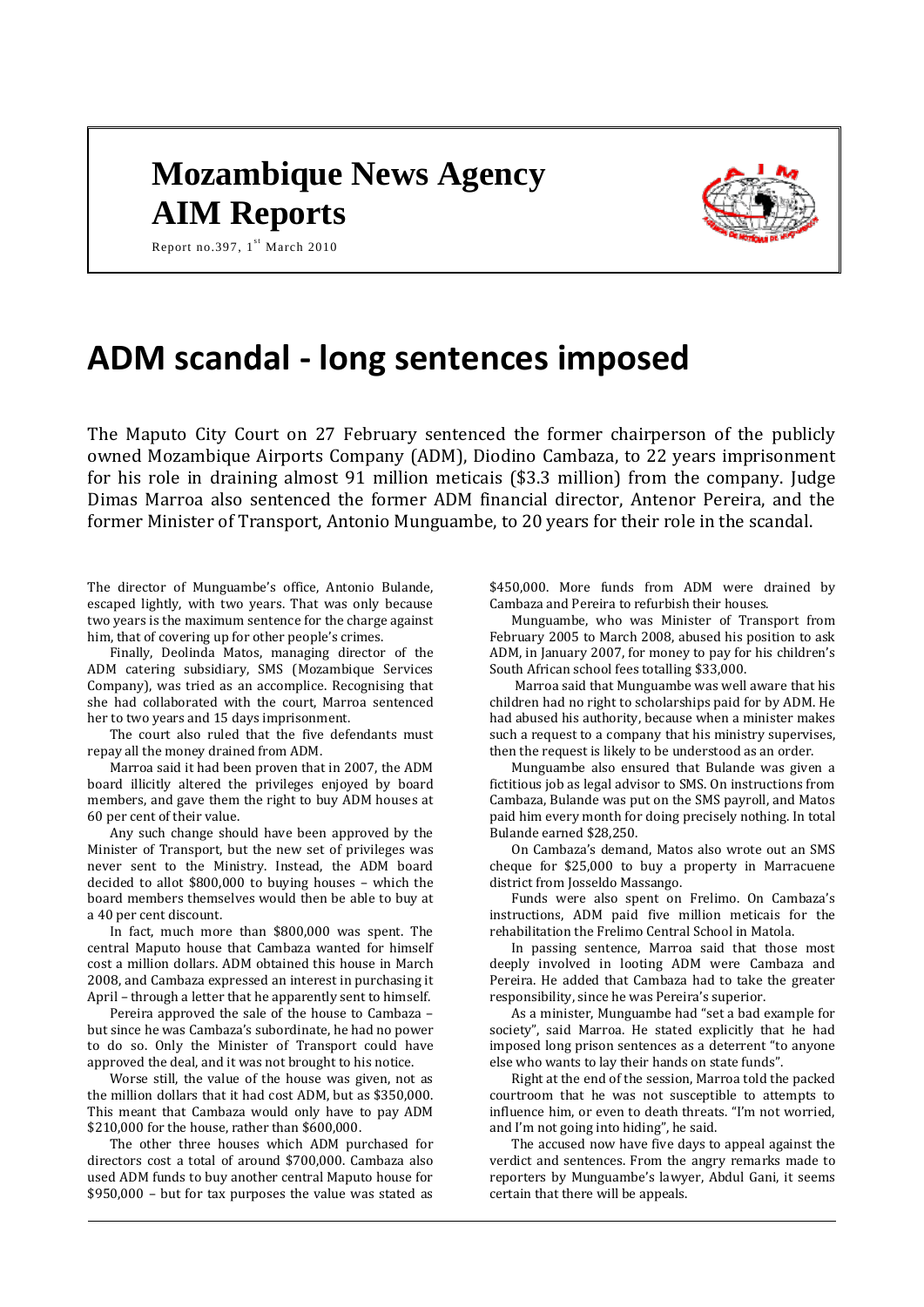# **Mozambique News Agency AIM Reports**



Report no.397,  $1^{st}$  March 2010

# **ADM scandal - long sentences imposed**

The Maputo City Court on 27 February sentenced the former chairperson of the publicly owned Mozambique Airports Company (ADM), Diodino Cambaza, to 22 years imprisonment for his role in draining almost 91 million meticais (\$3.3 million) from the company. Judge Dimas Marroa also sentenced the former ADM financial director, Antenor Pereira, and the former Minister of Transport, Antonio Munguambe, to 20 years for their role in the scandal.

The director of Munguambe's office, Antonio Bulande, escaped lightly, with two years. That was only because two years is the maximum sentence for the charge against him, that of covering up for other people's crimes.

Finally, Deolinda Matos, managing director of the ADM catering subsidiary, SMS (Mozambique Services Company), was tried as an accomplice. Recognising that she had collaborated with the court, Marroa sentenced her to two years and 15 days imprisonment.

The court also ruled that the five defendants must repay all the money drained from ADM.

Marroa said it had been proven that in 2007, the ADM board illicitly altered the privileges enjoyed by board members, and gave them the right to buy ADM houses at 60 per cent of their value.

Any such change should have been approved by the Minister of Transport, but the new set of privileges was never sent to the Ministry. Instead, the ADM board decided to allot \$800,000 to buying houses – which the board members themselves would then be able to buy at a 40 per cent discount.

In fact, much more than \$800,000 was spent. The central Maputo house that Cambaza wanted for himself cost a million dollars. ADM obtained this house in March 2008, and Cambaza expressed an interest in purchasing it April – through a letter that he apparently sent to himself.

Pereira approved the sale of the house to Cambaza – but since he was Cambaza's subordinate, he had no power to do so. Only the Minister of Transport could have approved the deal, and it was not brought to his notice.

Worse still, the value of the house was given, not as the million dollars that it had cost ADM, but as \$350,000. This meant that Cambaza would only have to pay ADM \$210,000 for the house, rather than \$600,000.

The other three houses which ADM purchased for directors cost a total of around \$700,000. Cambaza also used ADM funds to buy another central Maputo house for \$950,000 – but for tax purposes the value was stated as

\$450,000. More funds from ADM were drained by Cambaza and Pereira to refurbish their houses.

Munguambe, who was Minister of Transport from February 2005 to March 2008, abused his position to ask ADM, in January 2007, for money to pay for his children's South African school fees totalling \$33,000.

Marroa said that Munguambe was well aware that his children had no right to scholarships paid for by ADM. He had abused his authority, because when a minister makes such a request to a company that his ministry supervises, then the request is likely to be understood as an order.

Munguambe also ensured that Bulande was given a fictitious job as legal advisor to SMS. On instructions from Cambaza, Bulande was put on the SMS payroll, and Matos paid him every month for doing precisely nothing. In total Bulande earned \$28,250.

On Cambaza's demand, Matos also wrote out an SMS cheque for \$25,000 to buy a property in Marracuene district from Josseldo Massango.

Funds were also spent on Frelimo. On Cambaza's instructions, ADM paid five million meticais for the rehabilitation the Frelimo Central School in Matola.

In passing sentence, Marroa said that those most deeply involved in looting ADM were Cambaza and Pereira. He added that Cambaza had to take the greater responsibility, since he was Pereira's superior.

As a minister, Munguambe had "set a bad example for society", said Marroa. He stated explicitly that he had imposed long prison sentences as a deterrent "to anyone else who wants to lay their hands on state funds".

Right at the end of the session, Marroa told the packed courtroom that he was not susceptible to attempts to influence him, or even to death threats. "I'm not worried, and I'm not going into hiding", he said.

The accused now have five days to appeal against the verdict and sentences. From the angry remarks made to reporters by Munguambe's lawyer, Abdul Gani, it seems certain that there will be appeals.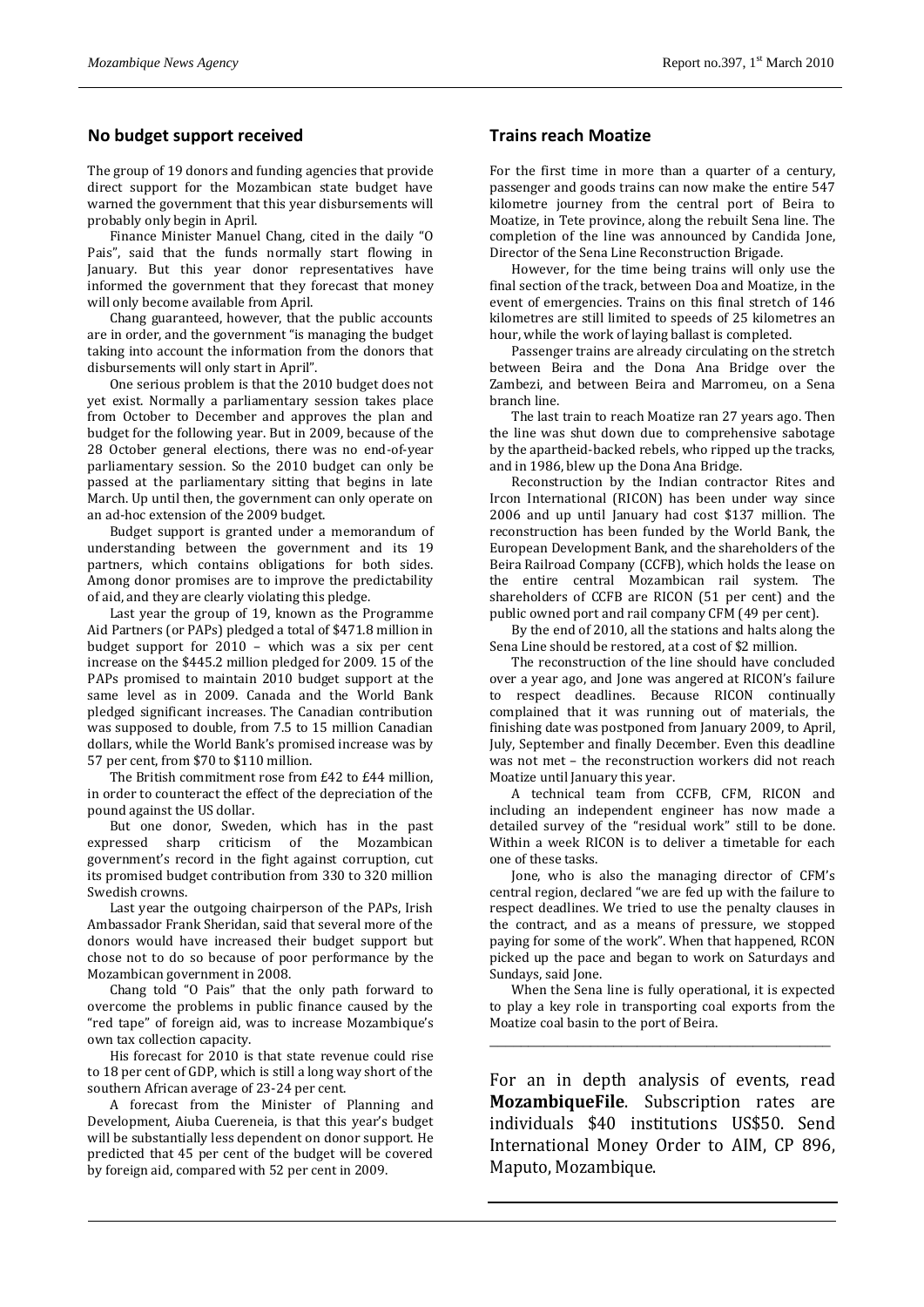### **No budget support received**

The group of 19 donors and funding agencies that provide direct support for the Mozambican state budget have warned the government that this year disbursements will probably only begin in April.

Finance Minister Manuel Chang, cited in the daily "O Pais", said that the funds normally start flowing in January. But this year donor representatives have informed the government that they forecast that money will only become available from April.

Chang guaranteed, however, that the public accounts are in order, and the government "is managing the budget taking into account the information from the donors that disbursements will only start in April".

One serious problem is that the 2010 budget does not yet exist. Normally a parliamentary session takes place from October to December and approves the plan and budget for the following year. But in 2009, because of the 28 October general elections, there was no end-of-year parliamentary session. So the 2010 budget can only be passed at the parliamentary sitting that begins in late March. Up until then, the government can only operate on an ad-hoc extension of the 2009 budget.

Budget support is granted under a memorandum of understanding between the government and its 19 partners, which contains obligations for both sides. Among donor promises are to improve the predictability of aid, and they are clearly violating this pledge.

Last year the group of 19, known as the Programme Aid Partners (or PAPs) pledged a total of \$471.8 million in budget support for 2010 – which was a six per cent increase on the \$445.2 million pledged for 2009. 15 of the PAPs promised to maintain 2010 budget support at the same level as in 2009. Canada and the World Bank pledged significant increases. The Canadian contribution was supposed to double, from 7.5 to 15 million Canadian dollars, while the World Bank's promised increase was by 57 per cent, from \$70 to \$110 million.

The British commitment rose from £42 to £44 million, in order to counteract the effect of the depreciation of the pound against the US dollar.

But one donor, Sweden, which has in the past expressed sharp criticism of the Mozambican government's record in the fight against corruption, cut its promised budget contribution from 330 to 320 million Swedish crowns.

Last year the outgoing chairperson of the PAPs, Irish Ambassador Frank Sheridan, said that several more of the donors would have increased their budget support but chose not to do so because of poor performance by the Mozambican government in 2008.

Chang told "O Pais" that the only path forward to overcome the problems in public finance caused by the "red tape" of foreign aid, was to increase Mozambique's own tax collection capacity.

His forecast for 2010 is that state revenue could rise to 18 per cent of GDP, which is still a long way short of the southern African average of 23-24 per cent.

A forecast from the Minister of Planning and Development, Aiuba Cuereneia, is that this year's budget will be substantially less dependent on donor support. He predicted that 45 per cent of the budget will be covered by foreign aid, compared with 52 per cent in 2009.

#### **Trains reach Moatize**

For the first time in more than a quarter of a century, passenger and goods trains can now make the entire 547 kilometre journey from the central port of Beira to Moatize, in Tete province, along the rebuilt Sena line. The completion of the line was announced by Candida Jone, Director of the Sena Line Reconstruction Brigade.

However, for the time being trains will only use the final section of the track, between Doa and Moatize, in the event of emergencies. Trains on this final stretch of 146 kilometres are still limited to speeds of 25 kilometres an hour, while the work of laying ballast is completed.

Passenger trains are already circulating on the stretch between Beira and the Dona Ana Bridge over the Zambezi, and between Beira and Marromeu, on a Sena branch line.

The last train to reach Moatize ran 27 years ago. Then the line was shut down due to comprehensive sabotage by the apartheid-backed rebels, who ripped up the tracks, and in 1986, blew up the Dona Ana Bridge.

Reconstruction by the Indian contractor Rites and Ircon International (RICON) has been under way since 2006 and up until January had cost \$137 million. The reconstruction has been funded by the World Bank, the European Development Bank, and the shareholders of the Beira Railroad Company (CCFB), which holds the lease on the entire central Mozambican rail system. The shareholders of CCFB are RICON (51 per cent) and the public owned port and rail company CFM (49 per cent).

By the end of 2010, all the stations and halts along the Sena Line should be restored, at a cost of \$2 million.

The reconstruction of the line should have concluded over a year ago, and Jone was angered at RICON's failure to respect deadlines. Because RICON continually complained that it was running out of materials, the finishing date was postponed from January 2009, to April, July, September and finally December. Even this deadline was not met – the reconstruction workers did not reach Moatize until January this year.

A technical team from CCFB, CFM, RICON and including an independent engineer has now made a detailed survey of the "residual work" still to be done. Within a week RICON is to deliver a timetable for each one of these tasks.

Jone, who is also the managing director of CFM's central region, declared "we are fed up with the failure to respect deadlines. We tried to use the penalty clauses in the contract, and as a means of pressure, we stopped paying for some of the work". When that happened, RCON picked up the pace and began to work on Saturdays and Sundays, said Jone.

When the Sena line is fully operational, it is expected to play a key role in transporting coal exports from the Moatize coal basin to the port of Beira.

\_\_\_\_\_\_\_\_\_\_\_\_\_\_\_\_\_\_\_\_\_\_\_\_\_\_\_\_\_\_\_\_\_\_\_\_\_\_\_\_\_\_\_\_

For an in depth analysis of events, read **MozambiqueFile**. Subscription rates are individuals \$40 institutions US\$50. Send International Money Order to AIM, CP 896, Maputo, Mozambique.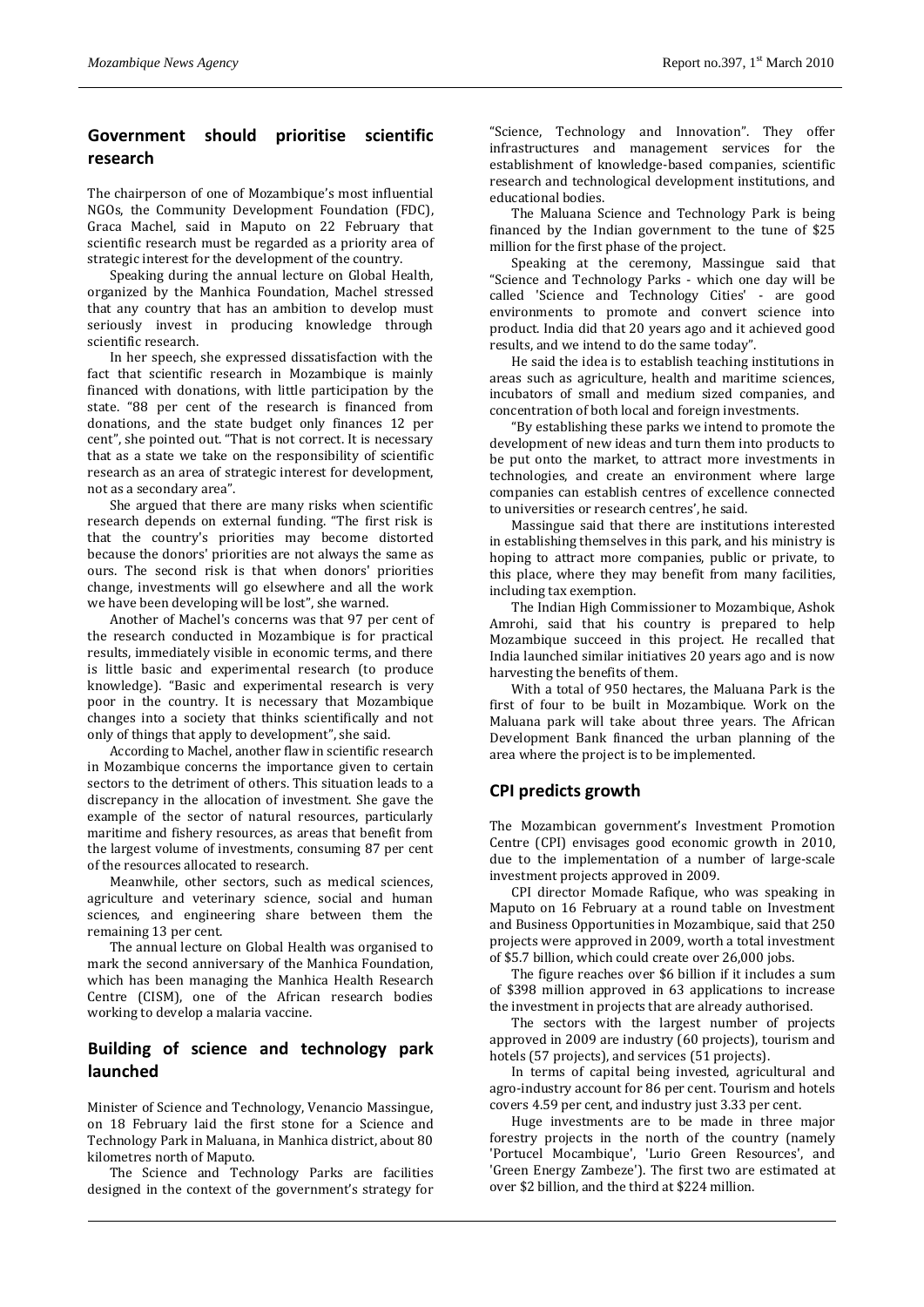# **Government should prioritise scientific research**

The chairperson of one of Mozambique's most influential NGOs, the Community Development Foundation (FDC), Graca Machel, said in Maputo on 22 February that scientific research must be regarded as a priority area of strategic interest for the development of the country.

Speaking during the annual lecture on Global Health, organized by the Manhica Foundation, Machel stressed that any country that has an ambition to develop must seriously invest in producing knowledge through scientific research.

In her speech, she expressed dissatisfaction with the fact that scientific research in Mozambique is mainly financed with donations, with little participation by the state. "88 per cent of the research is financed from donations, and the state budget only finances 12 per cent", she pointed out. "That is not correct. It is necessary that as a state we take on the responsibility of scientific research as an area of strategic interest for development, not as a secondary area".

She argued that there are many risks when scientific research depends on external funding. "The first risk is that the country's priorities may become distorted because the donors' priorities are not always the same as ours. The second risk is that when donors' priorities change, investments will go elsewhere and all the work we have been developing will be lost", she warned.

Another of Machel's concerns was that 97 per cent of the research conducted in Mozambique is for practical results, immediately visible in economic terms, and there is little basic and experimental research (to produce knowledge). "Basic and experimental research is very poor in the country. It is necessary that Mozambique changes into a society that thinks scientifically and not only of things that apply to development", she said.

According to Machel, another flaw in scientific research in Mozambique concerns the importance given to certain sectors to the detriment of others. This situation leads to a discrepancy in the allocation of investment. She gave the example of the sector of natural resources, particularly maritime and fishery resources, as areas that benefit from the largest volume of investments, consuming 87 per cent of the resources allocated to research.

Meanwhile, other sectors, such as medical sciences, agriculture and veterinary science, social and human sciences, and engineering share between them the remaining 13 per cent.

The annual lecture on Global Health was organised to mark the second anniversary of the Manhica Foundation, which has been managing the Manhica Health Research Centre (CISM), one of the African research bodies working to develop a malaria vaccine.

## **Building of science and technology park launched**

Minister of Science and Technology, Venancio Massingue, on 18 February laid the first stone for a Science and Technology Park in Maluana, in Manhica district, about 80 kilometres north of Maputo.

The Science and Technology Parks are facilities designed in the context of the government's strategy for "Science, Technology and Innovation". They offer infrastructures and management services for the establishment of knowledge-based companies, scientific research and technological development institutions, and educational bodies.

The Maluana Science and Technology Park is being financed by the Indian government to the tune of \$25 million for the first phase of the project.

Speaking at the ceremony, Massingue said that "Science and Technology Parks - which one day will be called 'Science and Technology Cities' - are good environments to promote and convert science into product. India did that 20 years ago and it achieved good results, and we intend to do the same today".

He said the idea is to establish teaching institutions in areas such as agriculture, health and maritime sciences, incubators of small and medium sized companies, and concentration of both local and foreign investments.

"By establishing these parks we intend to promote the development of new ideas and turn them into products to be put onto the market, to attract more investments in technologies, and create an environment where large companies can establish centres of excellence connected to universities or research centres', he said.

Massingue said that there are institutions interested in establishing themselves in this park, and his ministry is hoping to attract more companies, public or private, to this place, where they may benefit from many facilities, including tax exemption.

The Indian High Commissioner to Mozambique, Ashok Amrohi, said that his country is prepared to help Mozambique succeed in this project. He recalled that India launched similar initiatives 20 years ago and is now harvesting the benefits of them.

With a total of 950 hectares, the Maluana Park is the first of four to be built in Mozambique. Work on the Maluana park will take about three years. The African Development Bank financed the urban planning of the area where the project is to be implemented.

## **CPI predicts growth**

The Mozambican government's Investment Promotion Centre (CPI) envisages good economic growth in 2010, due to the implementation of a number of large-scale investment projects approved in 2009.

CPI director Momade Rafique, who was speaking in Maputo on 16 February at a round table on Investment and Business Opportunities in Mozambique, said that 250 projects were approved in 2009, worth a total investment of \$5.7 billion, which could create over 26,000 jobs.

The figure reaches over \$6 billion if it includes a sum of \$398 million approved in 63 applications to increase the investment in projects that are already authorised.

The sectors with the largest number of projects approved in 2009 are industry (60 projects), tourism and hotels (57 projects), and services (51 projects).

In terms of capital being invested, agricultural and agro-industry account for 86 per cent. Tourism and hotels covers 4.59 per cent, and industry just 3.33 per cent.

Huge investments are to be made in three major forestry projects in the north of the country (namely 'Portucel Mocambique', 'Lurio Green Resources', and 'Green Energy Zambeze'). The first two are estimated at over \$2 billion, and the third at \$224 million.